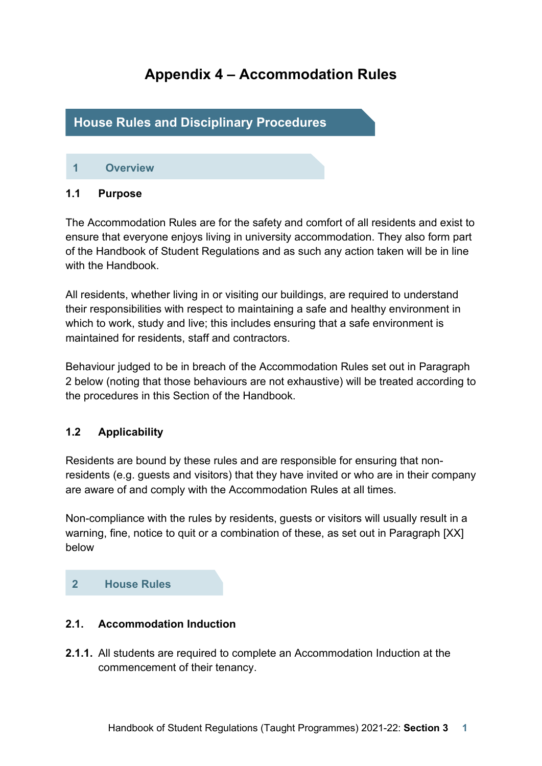# **Appendix 4 – Accommodation Rules**

## **House Rules and Disciplinary Procedures**

## **1 Overview**

#### **1.1 Purpose**

The Accommodation Rules are for the safety and comfort of all residents and exist to ensure that everyone enjoys living in university accommodation. They also form part of the Handbook of Student Regulations and as such any action taken will be in line with the Handbook.

All residents, whether living in or visiting our buildings, are required to understand their responsibilities with respect to maintaining a safe and healthy environment in which to work, study and live; this includes ensuring that a safe environment is maintained for residents, staff and contractors.

Behaviour judged to be in breach of the Accommodation Rules set out in Paragraph 2 below (noting that those behaviours are not exhaustive) will be treated according to the procedures in this Section of the Handbook.

## **1.2 Applicability**

Residents are bound by these rules and are responsible for ensuring that nonresidents (e.g. guests and visitors) that they have invited or who are in their company are aware of and comply with the Accommodation Rules at all times.

Non-compliance with the rules by residents, guests or visitors will usually result in a warning, fine, notice to quit or a combination of these, as set out in Paragraph [XX] below

#### **2 House Rules**

#### **2.1. Accommodation Induction**

**2.1.1.** All students are required to complete an Accommodation Induction at the commencement of their tenancy.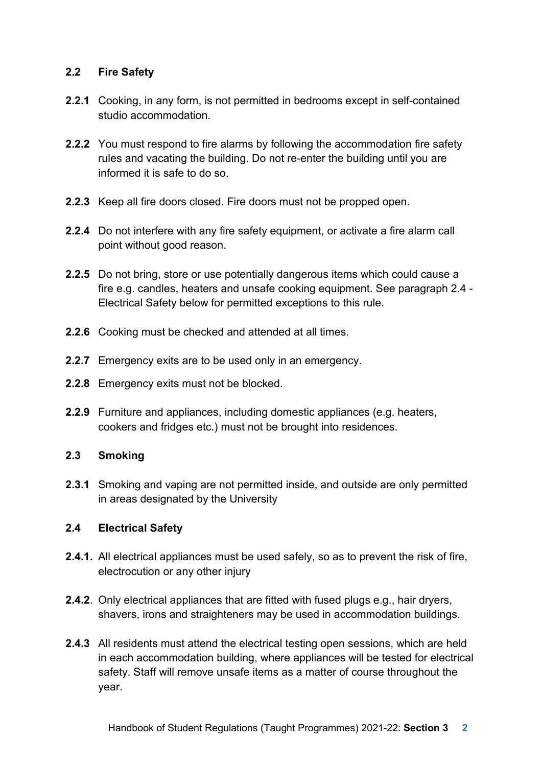## **2.2 Fire Safety**

- **2.2.1** Cooking, in any form, is not permitted in bedrooms except in self-contained studio accommodation.
- **2.2.2** You must respond to fire alarms by following the accommodation fire safety rules and vacating the building. Do not re-enter the building until you are informed it is safe to do so.
- **2.2.3** Keep all fire doors closed. Fire doors must not be propped open.
- **2.2.4** Do not interfere with any fire safety equipment, or activate a fire alarm call point without good reason.
- **2.2.5** Do not bring, store or use potentially dangerous items which could cause a fire e.g. candles, heaters and unsafe cooking equipment. See paragraph 2.4 - Electrical Safety below for permitted exceptions to this rule.
- **2.2.6** Cooking must be checked and attended at all times.
- **2.2.7** Emergency exits are to be used only in an emergency.
- **2.2.8** Emergency exits must not be blocked.
- **2.2.9** Furniture and appliances, including domestic appliances (e.g. heaters, cookers and fridges etc.) must not be brought into residences.

## **2.3 Smoking**

**2.3.1** Smoking and vaping are not permitted inside, and outside are only permitted in areas designated by the University

## **2.4 Electrical Safety**

- **2.4.1.** All electrical appliances must be used safely, so as to prevent the risk of fire, electrocution or any other injury
- **2.4.2**. Only electrical appliances that are fitted with fused plugs e.g., hair dryers, shavers, irons and straighteners may be used in accommodation buildings.
- **2.4.3** All residents must attend the electrical testing open sessions, which are held in each accommodation building, where appliances will be tested for electrical safety. Staff will remove unsafe items as a matter of course throughout the year.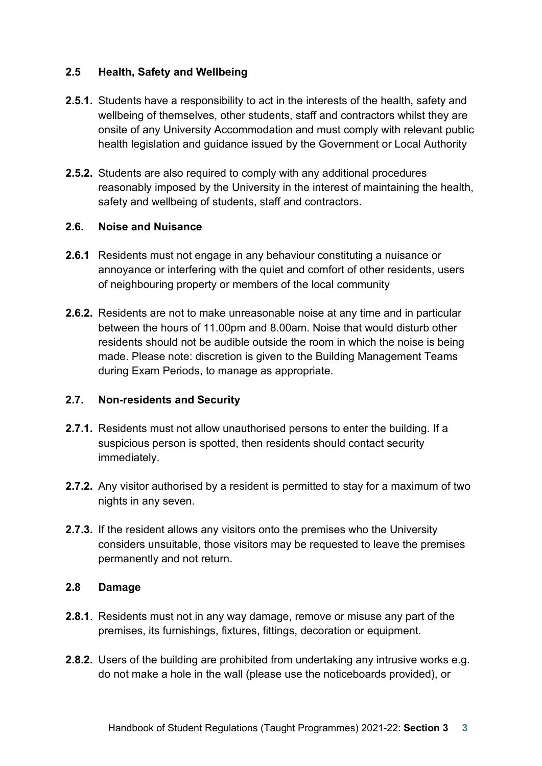## **2.5 Health, Safety and Wellbeing**

- **2.5.1.** Students have a responsibility to act in the interests of the health, safety and wellbeing of themselves, other students, staff and contractors whilst they are onsite of any University Accommodation and must comply with relevant public health legislation and guidance issued by the Government or Local Authority
- **2.5.2.** Students are also required to comply with any additional procedures reasonably imposed by the University in the interest of maintaining the health, safety and wellbeing of students, staff and contractors.

#### **2.6. Noise and Nuisance**

- **2.6.1** Residents must not engage in any behaviour constituting a nuisance or annoyance or interfering with the quiet and comfort of other residents, users of neighbouring property or members of the local community
- **2.6.2.** Residents are not to make unreasonable noise at any time and in particular between the hours of 11.00pm and 8.00am. Noise that would disturb other residents should not be audible outside the room in which the noise is being made. Please note: discretion is given to the Building Management Teams during Exam Periods, to manage as appropriate.

#### **2.7. Non-residents and Security**

- **2.7.1.** Residents must not allow unauthorised persons to enter the building. If a suspicious person is spotted, then residents should contact security immediately.
- **2.7.2.** Any visitor authorised by a resident is permitted to stay for a maximum of two nights in any seven.
- **2.7.3.** If the resident allows any visitors onto the premises who the University considers unsuitable, those visitors may be requested to leave the premises permanently and not return.

#### **2.8 Damage**

- **2.8.1**. Residents must not in any way damage, remove or misuse any part of the premises, its furnishings, fixtures, fittings, decoration or equipment.
- **2.8.2.** Users of the building are prohibited from undertaking any intrusive works e.g. do not make a hole in the wall (please use the noticeboards provided), or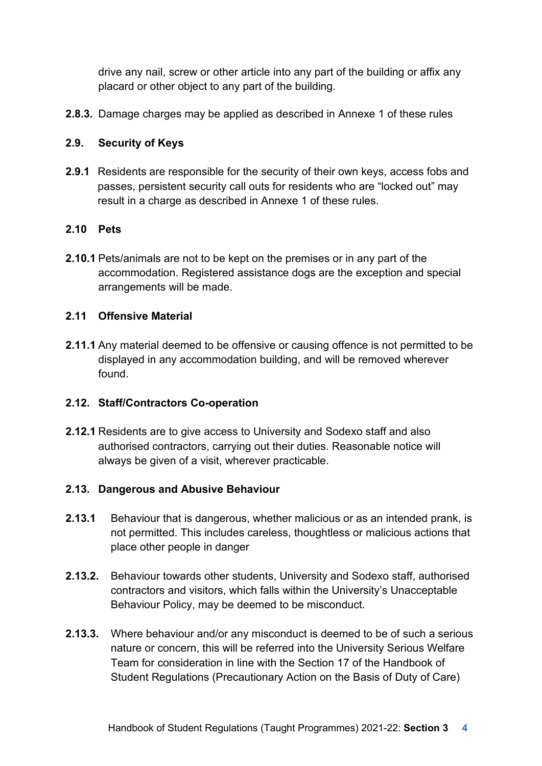drive any nail, screw or other article into any part of the building or affix any placard or other object to any part of the building.

**2.8.3.** Damage charges may be applied as described in Annexe 1 of these rules

#### **2.9. Security of Keys**

**2.9.1** Residents are responsible for the security of their own keys, access fobs and passes, persistent security call outs for residents who are "locked out" may result in a charge as described in Annexe 1 of these rules.

#### **2.10 Pets**

**2.10.1** Pets/animals are not to be kept on the premises or in any part of the accommodation. Registered assistance dogs are the exception and special arrangements will be made.

#### **2.11 Offensive Material**

**2.11.1** Any material deemed to be offensive or causing offence is not permitted to be displayed in any accommodation building, and will be removed wherever found.

#### **2.12. Staff/Contractors Co-operation**

**2.12.1** Residents are to give access to University and Sodexo staff and also authorised contractors, carrying out their duties. Reasonable notice will always be given of a visit, wherever practicable.

#### **2.13. Dangerous and Abusive Behaviour**

- **2.13.1** Behaviour that is dangerous, whether malicious or as an intended prank, is not permitted. This includes careless, thoughtless or malicious actions that place other people in danger
- **2.13.2.** Behaviour towards other students, University and Sodexo staff, authorised contractors and visitors, which falls within the University's Unacceptable Behaviour Policy, may be deemed to be misconduct.
- **2.13.3.** Where behaviour and/or any misconduct is deemed to be of such a serious nature or concern, this will be referred into the University Serious Welfare Team for consideration in line with the Section 17 of the Handbook of Student Regulations (Precautionary Action on the Basis of Duty of Care)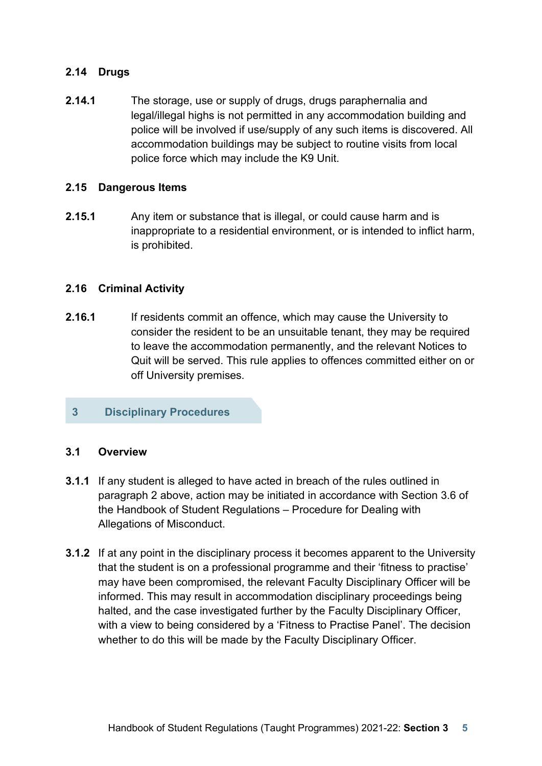## **2.14 Drugs**

**2.14.1** The storage, use or supply of drugs, drugs paraphernalia and legal/illegal highs is not permitted in any accommodation building and police will be involved if use/supply of any such items is discovered. All accommodation buildings may be subject to routine visits from local police force which may include the K9 Unit.

#### **2.15 Dangerous Items**

**2.15.1** Any item or substance that is illegal, or could cause harm and is inappropriate to a residential environment, or is intended to inflict harm, is prohibited.

#### **2.16 Criminal Activity**

**2.16.1** If residents commit an offence, which may cause the University to consider the resident to be an unsuitable tenant, they may be required to leave the accommodation permanently, and the relevant Notices to Quit will be served. This rule applies to offences committed either on or off University premises.

## **3 Disciplinary Procedures**

#### **3.1 Overview**

- **3.1.1** If any student is alleged to have acted in breach of the rules outlined in paragraph 2 above, action may be initiated in accordance with Section 3.6 of the Handbook of Student Regulations – Procedure for Dealing with Allegations of Misconduct.
- **3.1.2** If at any point in the disciplinary process it becomes apparent to the University that the student is on a professional programme and their 'fitness to practise' may have been compromised, the relevant Faculty Disciplinary Officer will be informed. This may result in accommodation disciplinary proceedings being halted, and the case investigated further by the Faculty Disciplinary Officer, with a view to being considered by a 'Fitness to Practise Panel'. The decision whether to do this will be made by the Faculty Disciplinary Officer.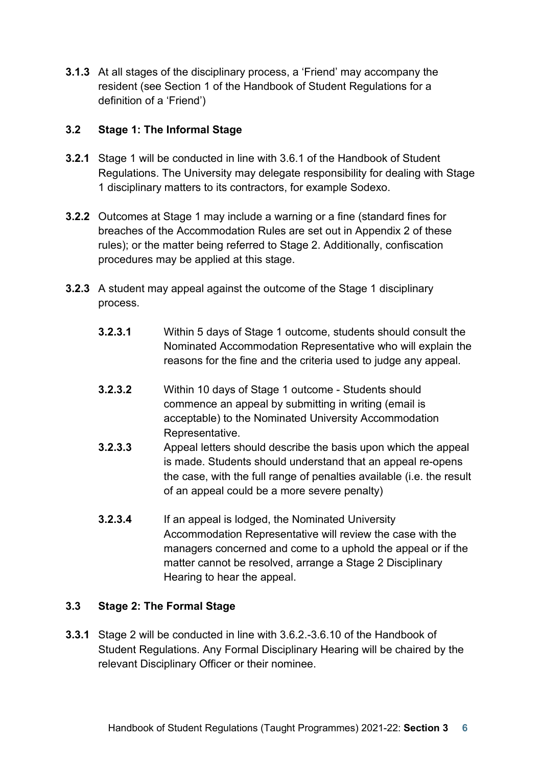**3.1.3** At all stages of the disciplinary process, a 'Friend' may accompany the resident (see Section 1 of the Handbook of Student Regulations for a definition of a 'Friend')

## **3.2 Stage 1: The Informal Stage**

- **3.2.1** Stage 1 will be conducted in line with 3.6.1 of the Handbook of Student Regulations. The University may delegate responsibility for dealing with Stage 1 disciplinary matters to its contractors, for example Sodexo.
- **3.2.2** Outcomes at Stage 1 may include a warning or a fine (standard fines for breaches of the Accommodation Rules are set out in Appendix 2 of these rules); or the matter being referred to Stage 2. Additionally, confiscation procedures may be applied at this stage.
- **3.2.3** A student may appeal against the outcome of the Stage 1 disciplinary process.
	- **3.2.3.1** Within 5 days of Stage 1 outcome, students should consult the Nominated Accommodation Representative who will explain the reasons for the fine and the criteria used to judge any appeal.
	- **3.2.3.2** Within 10 days of Stage 1 outcome Students should commence an appeal by submitting in writing (email is acceptable) to the Nominated University Accommodation Representative.
	- **3.2.3.3** Appeal letters should describe the basis upon which the appeal is made. Students should understand that an appeal re-opens the case, with the full range of penalties available (i.e. the result of an appeal could be a more severe penalty)
	- **3.2.3.4** If an appeal is lodged, the Nominated University Accommodation Representative will review the case with the managers concerned and come to a uphold the appeal or if the matter cannot be resolved, arrange a Stage 2 Disciplinary Hearing to hear the appeal.

## **3.3 Stage 2: The Formal Stage**

**3.3.1** Stage 2 will be conducted in line with 3.6.2.-3.6.10 of the Handbook of Student Regulations. Any Formal Disciplinary Hearing will be chaired by the relevant Disciplinary Officer or their nominee.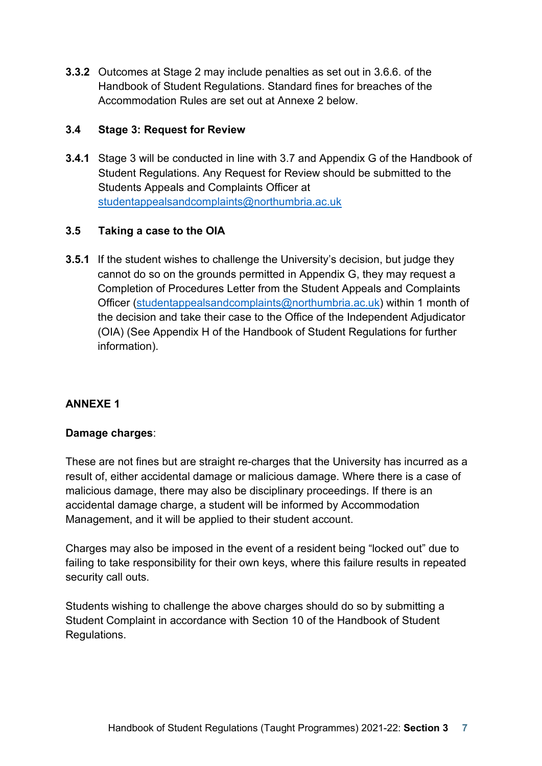**3.3.2** Outcomes at Stage 2 may include penalties as set out in 3.6.6. of the Handbook of Student Regulations. Standard fines for breaches of the Accommodation Rules are set out at Annexe 2 below.

## **3.4 Stage 3: Request for Review**

**3.4.1** Stage 3 will be conducted in line with 3.7 and Appendix G of the Handbook of Student Regulations. Any Request for Review should be submitted to the Students Appeals and Complaints Officer at [studentappealsandcomplaints@northumbria.ac.uk](mailto:studentappealsandcomplaints@northumbria.ac.uk)

## **3.5 Taking a case to the OIA**

**3.5.1** If the student wishes to challenge the University's decision, but judge they cannot do so on the grounds permitted in Appendix G, they may request a Completion of Procedures Letter from the Student Appeals and Complaints Officer [\(studentappealsandcomplaints@northumbria.ac.uk\)](mailto:studentappealsandcomplaints@northumbria.ac.uk) within 1 month of the decision and take their case to the Office of the Independent Adjudicator (OIA) (See Appendix H of the Handbook of Student Regulations for further information).

## **ANNEXE 1**

## **Damage charges**:

These are not fines but are straight re-charges that the University has incurred as a result of, either accidental damage or malicious damage. Where there is a case of malicious damage, there may also be disciplinary proceedings. If there is an accidental damage charge, a student will be informed by Accommodation Management, and it will be applied to their student account.

Charges may also be imposed in the event of a resident being "locked out" due to failing to take responsibility for their own keys, where this failure results in repeated security call outs.

Students wishing to challenge the above charges should do so by submitting a Student Complaint in accordance with Section 10 of the Handbook of Student Regulations.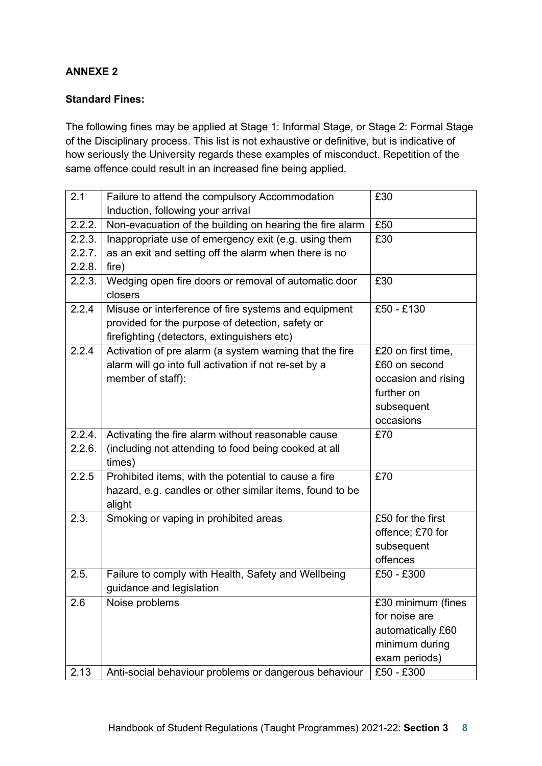#### **ANNEXE 2**

#### **Standard Fines:**

The following fines may be applied at Stage 1: Informal Stage, or Stage 2: Formal Stage of the Disciplinary process. This list is not exhaustive or definitive, but is indicative of how seriously the University regards these examples of misconduct. Repetition of the same offence could result in an increased fine being applied.

| 2.1    | Failure to attend the compulsory Accommodation                  | £30                 |
|--------|-----------------------------------------------------------------|---------------------|
|        | Induction, following your arrival                               |                     |
| 2.2.2. | Non-evacuation of the building on hearing the fire alarm        | £50                 |
| 2.2.3. | Inappropriate use of emergency exit (e.g. using them            | £30                 |
| 2.2.7. | as an exit and setting off the alarm when there is no           |                     |
| 2.2.8. | fire)                                                           |                     |
| 2.2.3. | Wedging open fire doors or removal of automatic door<br>closers | £30                 |
| 2.2.4  | Misuse or interference of fire systems and equipment            | £50 - £130          |
|        | provided for the purpose of detection, safety or                |                     |
|        | firefighting (detectors, extinguishers etc)                     |                     |
| 2.2.4  | Activation of pre alarm (a system warning that the fire         | £20 on first time,  |
|        | alarm will go into full activation if not re-set by a           | £60 on second       |
|        | member of staff):                                               | occasion and rising |
|        |                                                                 | further on          |
|        |                                                                 | subsequent          |
|        |                                                                 | occasions           |
| 2.2.4. | Activating the fire alarm without reasonable cause              | £70                 |
| 2.2.6. | (including not attending to food being cooked at all            |                     |
|        | times)                                                          |                     |
| 2.2.5  | Prohibited items, with the potential to cause a fire            | £70                 |
|        | hazard, e.g. candles or other similar items, found to be        |                     |
|        | alight                                                          |                     |
| 2.3.   | Smoking or vaping in prohibited areas                           | £50 for the first   |
|        |                                                                 | offence; £70 for    |
|        |                                                                 | subsequent          |
|        |                                                                 | offences            |
| 2.5.   | Failure to comply with Health, Safety and Wellbeing             | £50 - £300          |
|        | guidance and legislation                                        |                     |
| 2.6    | Noise problems                                                  | £30 minimum (fines  |
|        |                                                                 | for noise are       |
|        |                                                                 | automatically £60   |
|        |                                                                 | minimum during      |
|        |                                                                 | exam periods)       |
| 2.13   | Anti-social behaviour problems or dangerous behaviour           | £50 - £300          |